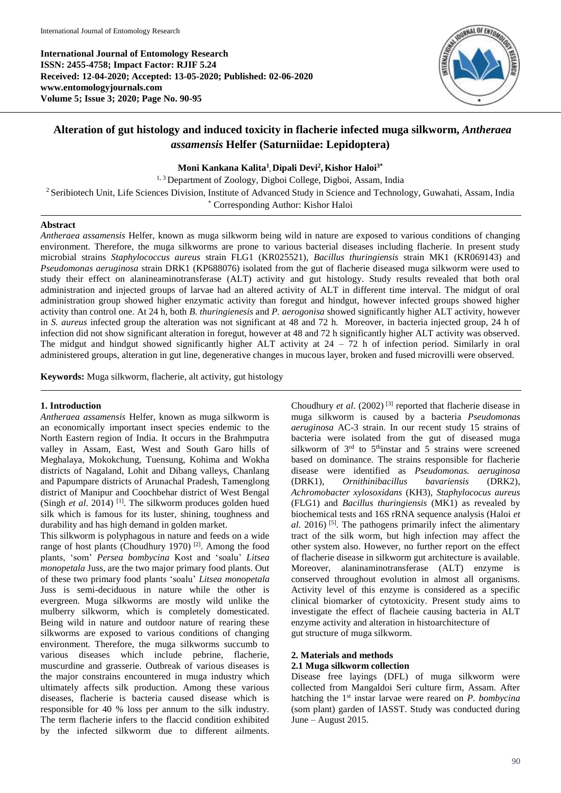**International Journal of Entomology Research ISSN: 2455-4758; Impact Factor: RJIF 5.24 Received: 12-04-2020; Accepted: 13-05-2020; Published: 02-06-2020 www.entomologyjournals.com Volume 5; Issue 3; 2020; Page No. 90-95**



# **Alteration of gut histology and induced toxicity in flacherie infected muga silkworm,** *Antheraea assamensis* **Helfer (Saturniidae: Lepidoptera)**

**Moni Kankana Kalita<sup>1</sup> , Dipali Devi<sup>2</sup> , Kishor Haloi3\***

<sup>1, 3</sup> Department of Zoology, Digboi College, Digboi, Assam, India

<sup>2</sup> Seribiotech Unit, Life Sciences Division, Institute of Advanced Study in Science and Technology, Guwahati, Assam, India

\* Corresponding Author: Kishor Haloi

#### **Abstract**

*Antheraea assamensis* Helfer, known as muga silkworm being wild in nature are exposed to various conditions of changing environment. Therefore, the muga silkworms are prone to various bacterial diseases including flacherie. In present study microbial strains *Staphylococcus aureus* strain FLG1 (KR025521), *Bacillus thuringiensis* strain MK1 (KR069143) and *Pseudomonas aeruginosa* strain DRK1 (KP688076) isolated from the gut of flacherie diseased muga silkworm were used to study their effect on alanineaminotransferase (ALT) activity and gut histology. Study results revealed that both oral administration and injected groups of larvae had an altered activity of ALT in different time interval. The midgut of oral administration group showed higher enzymatic activity than foregut and hindgut, however infected groups showed higher activity than control one. At 24 h, both *B. thuringienesis* and *P. aerogonisa* showed significantly higher ALT activity, however in *S. aureus* infected group the alteration was not significant at 48 and 72 h. Moreover, in bacteria injected group, 24 h of infection did not show significant alteration in foregut, however at 48 and 72 h significantly higher ALT activity was observed. The midgut and hindgut showed significantly higher ALT activity at  $24 - 72$  h of infection period. Similarly in oral administered groups, alteration in gut line, degenerative changes in mucous layer, broken and fused microvilli were observed.

**Keywords:** Muga silkworm, flacherie, alt activity, gut histology

#### **1. Introduction**

*Antheraea assamensis* Helfer, known as muga silkworm is an economically important insect species endemic to the North Eastern region of India. It occurs in the Brahmputra valley in Assam, East, West and South Garo hills of Meghalaya, Mokokchung, Tuensung, Kohima and Wokha districts of Nagaland, Lohit and Dibang valleys, Chanlang and Papumpare districts of Arunachal Pradesh, Tamenglong district of Manipur and Coochbehar district of West Bengal (Singh *et al.* 2014)<sup>[1]</sup>. The silkworm produces golden hued silk which is famous for its luster, shining, toughness and durability and has high demand in golden market.

This silkworm is polyphagous in nature and feeds on a wide range of host plants (Choudhury 1970) [2]. Among the food plants, 'som' *Persea bombycina* Kost and 'soalu' *Litsea monopetala* Juss, are the two major primary food plants. Out of these two primary food plants 'soalu' *Litsea monopetala* Juss is semi-deciduous in nature while the other is evergreen. Muga silkworms are mostly wild unlike the mulberry silkworm, which is completely domesticated. Being wild in nature and outdoor nature of rearing these silkworms are exposed to various conditions of changing environment. Therefore, the muga silkworms succumb to various diseases which include pebrine, flacherie, muscurdine and grasserie. Outbreak of various diseases is the major constrains encountered in muga industry which ultimately affects silk production. Among these various diseases, flacherie is bacteria caused disease which is responsible for 40 % loss per annum to the silk industry. The term flacherie infers to the flaccid condition exhibited by the infected silkworm due to different ailments.

Choudhury *et al*. (2002) [3] reported that flacherie disease in muga silkworm is caused by a bacteria *Pseudomonas aeruginosa* AC-3 strain. In our recent study 15 strains of bacteria were isolated from the gut of diseased muga silkworm of  $3<sup>rd</sup>$  to  $5<sup>th</sup>$  instar and  $5<sup>th</sup>$  strains were screened based on dominance. The strains responsible for flacherie disease were identified as *Pseudomonas. aeruginosa* (DRK1), *Ornithinibacillus bavariensis* (DRK2), *Achromobacter xylosoxidans* (KH3), *Staphylococus aureus* (FLG1) and *Bacillus thuringiensis* (MK1) as revealed by biochemical tests and 16S rRNA sequence analysis (Haloi *et al*. 2016)<sup>[5]</sup>. The pathogens primarily infect the alimentary tract of the silk worm, but high infection may affect the other system also. However, no further report on the effect of flacherie disease in silkworm gut architecture is available. Moreover, alaninaminotransferase (ALT) enzyme is conserved throughout evolution in almost all organisms. Activity level of this enzyme is considered as a specific clinical biomarker of cytotoxicity. Present study aims to investigate the effect of flacheie causing bacteria in ALT enzyme activity and alteration in histoarchitecture of gut structure of muga silkworm.

#### **2. Materials and methods**

## **2.1 Muga silkworm collection**

Disease free layings (DFL) of muga silkworm were collected from Mangaldoi Seri culture firm, Assam. After hatching the 1st instar larvae were reared on *P. bombycina* (som plant) garden of IASST. Study was conducted during June – August 2015.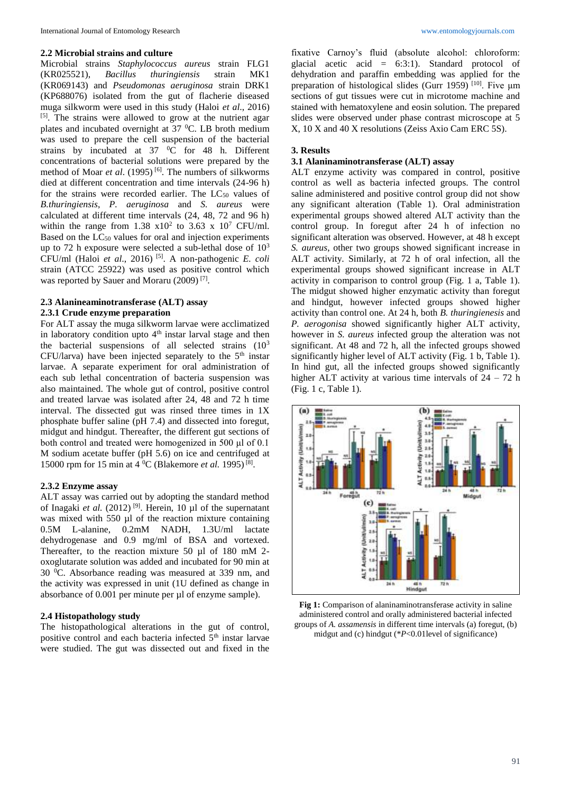#### **2.2 Microbial strains and culture**

Microbial strains *Staphylococcus aureus* strain FLG1 (KR025521), *Bacillus thuringiensis* strain MK1 (KR069143) and *Pseudomonas aeruginosa* strain DRK1 (KP688076) isolated from the gut of flacherie diseased muga silkworm were used in this study (Haloi *et al*., 2016) <sup>[5]</sup>. The strains were allowed to grow at the nutrient agar plates and incubated overnight at  $37 \degree C$ . LB broth medium was used to prepare the cell suspension of the bacterial strains by incubated at  $37\degree$ C for 48 h. Different concentrations of bacterial solutions were prepared by the method of Moar *et al.* (1995)<sup>[6]</sup>. The numbers of silkworms died at different concentration and time intervals (24-96 h) for the strains were recorded earlier. The  $LC_{50}$  values of *B.thuringiensis*, *P. aeruginosa* and *S. aureus* were calculated at different time intervals (24, 48, 72 and 96 h) within the range from  $1.38 \times 10^2$  to  $3.63 \times 10^7$  CFU/ml. Based on the LC<sub>50</sub> values for oral and injection experiments up to 72 h exposure were selected a sub-lethal dose of  $10^3$ CFU/ml (Haloi *et al*., 2016) [5]. A non-pathogenic *E. coli* strain (ATCC 25922) was used as positive control which was reported by Sauer and Moraru (2009)<sup>[7]</sup>.

### **2.3 Alanineaminotransferase (ALT) assay 2.3.1 Crude enzyme preparation**

For ALT assay the muga silkworm larvae were acclimatized in laboratory condition upto 4<sup>th</sup> instar larval stage and then the bacterial suspensions of all selected strains (10<sup>3</sup>)  $CFU/larva)$  have been injected separately to the  $5<sup>th</sup>$  instar larvae. A separate experiment for oral administration of each sub lethal concentration of bacteria suspension was also maintained. The whole gut of control, positive control and treated larvae was isolated after 24, 48 and 72 h time interval. The dissected gut was rinsed three times in 1X phosphate buffer saline (pH 7.4) and dissected into foregut, midgut and hindgut. Thereafter, the different gut sections of both control and treated were homogenized in 500 μl of 0.1 M sodium acetate buffer (pH 5.6) on ice and centrifuged at 15000 rpm for 15 min at 4 <sup>0</sup>C (Blakemore *et al.* 1995)<sup>[8]</sup>.

#### **2.3.2 Enzyme assay**

ALT assay was carried out by adopting the standard method of Inagaki *et al.* (2012) [9]. Herein, 10 µl of the supernatant was mixed with 550 µl of the reaction mixture containing 0.5M L-alanine, 0.2mM NADH, 1.3U/ml lactate dehydrogenase and 0.9 mg/ml of BSA and vortexed. Thereafter, to the reaction mixture 50 µl of 180 mM 2 oxoglutarate solution was added and incubated for 90 min at 30 <sup>0</sup>C. Absorbance reading was measured at 339 nm, and the activity was expressed in unit (1U defined as change in absorbance of 0.001 per minute per µl of enzyme sample).

## **2.4 Histopathology study**

The histopathological alterations in the gut of control, positive control and each bacteria infected 5<sup>th</sup> instar larvae were studied. The gut was dissected out and fixed in the

fixative Carnoy's fluid (absolute alcohol: chloroform: glacial acetic acid = 6:3:1). Standard protocol of dehydration and paraffin embedding was applied for the preparation of histological slides (Gurr 1959) [10]. Five μm sections of gut tissues were cut in microtome machine and stained with hematoxylene and eosin solution. The prepared slides were observed under phase contrast microscope at 5 X, 10 X and 40 X resolutions (Zeiss Axio Cam ERC 5S).

## **3. Results**

## **3.1 Alaninaminotransferase (ALT) assay**

ALT enzyme activity was compared in control, positive control as well as bacteria infected groups. The control saline administered and positive control group did not show any significant alteration (Table 1). Oral administration experimental groups showed altered ALT activity than the control group. In foregut after 24 h of infection no significant alteration was observed. However, at 48 h except *S. aureus*, other two groups showed significant increase in ALT activity. Similarly, at 72 h of oral infection, all the experimental groups showed significant increase in ALT activity in comparison to control group (Fig. 1 a, Table 1). The midgut showed higher enzymatic activity than foregut and hindgut, however infected groups showed higher activity than control one. At 24 h, both *B. thuringienesis* and *P. aerogonisa* showed significantly higher ALT activity, however in *S. aureus* infected group the alteration was not significant. At 48 and 72 h, all the infected groups showed significantly higher level of ALT activity (Fig. 1 b, Table 1). In hind gut, all the infected groups showed significantly higher ALT activity at various time intervals of  $24 - 72$  h (Fig. 1 c, Table 1).



**Fig 1:** Comparison of alaninaminotransferase activity in saline administered control and orally administered bacterial infected groups of *A. assamensis* in different time intervals (a) foregut, (b) midgut and (c) hindgut (\**P*<0.01level of significance)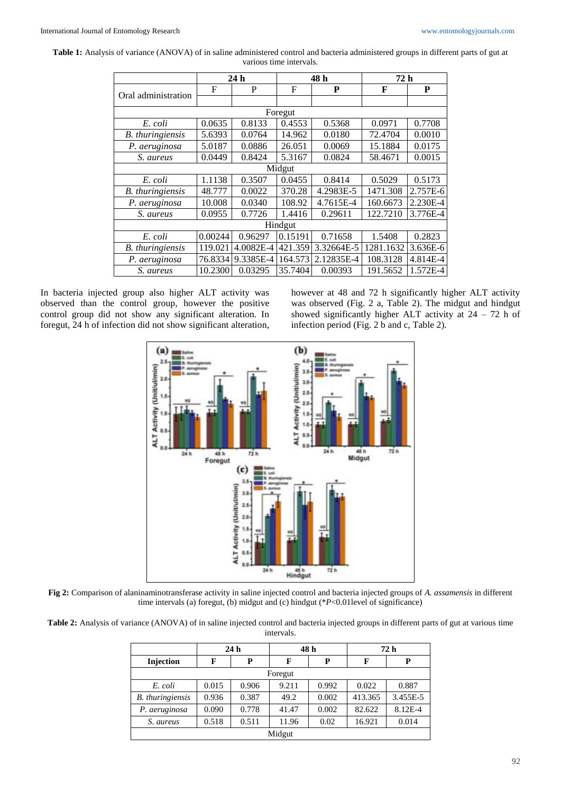**Table 1:** Analysis of variance (ANOVA) of in saline administered control and bacteria administered groups in different parts of gut at various time intervals.

|                         | 24h     |           | 48 h    |            | 72 h      |          |  |  |
|-------------------------|---------|-----------|---------|------------|-----------|----------|--|--|
| Oral administration     | F       | P         | F       | P          | F         | P        |  |  |
|                         |         |           |         |            |           |          |  |  |
| Foregut                 |         |           |         |            |           |          |  |  |
| E. coli                 | 0.0635  | 0.8133    | 0.4553  | 0.5368     | 0.0971    | 0.7708   |  |  |
| <b>B.</b> thuringiensis | 5.6393  | 0.0764    | 14.962  | 0.0180     | 72.4704   | 0.0010   |  |  |
| P. aeruginosa           | 5.0187  | 0.0886    | 26.051  | 0.0069     | 15.1884   | 0.0175   |  |  |
| S. aureus               | 0.0449  | 0.8424    | 5.3167  | 0.0824     | 58.4671   | 0.0015   |  |  |
| Midgut                  |         |           |         |            |           |          |  |  |
| E. coli                 | 1.1138  | 0.3507    | 0.0455  | 0.8414     | 0.5029    | 0.5173   |  |  |
| <b>B.</b> thuringiensis | 48.777  | 0.0022    | 370.28  | 4.2983E-5  | 1471.308  | 2.757E-6 |  |  |
| P. aeruginosa           | 10.008  | 0.0340    | 108.92  | 4.7615E-4  | 160.6673  | 2.230E-4 |  |  |
| S. aureus               | 0.0955  | 0.7726    | 1.4416  | 0.29611    | 122.7210  | 3.776E-4 |  |  |
| Hindgut                 |         |           |         |            |           |          |  |  |
| E. coli                 | 0.00244 | 0.96297   | 0.15191 | 0.71658    | 1.5408    | 0.2823   |  |  |
| <b>B.</b> thuringiensis | 119.021 | 4.0082E-4 | 421.359 | 3.32664E-5 | 1281.1632 | 3.636E-6 |  |  |
| P. aeruginosa           | 76.8334 | 9.3385E-4 | 164.573 | 2.12835E-4 | 108.3128  | 4.814E-4 |  |  |
| S. aureus               | 10.2300 | 0.03295   | 35.7404 | 0.00393    | 191.5652  | 1.572E-4 |  |  |

In bacteria injected group also higher ALT activity was observed than the control group, however the positive control group did not show any significant alteration. In foregut, 24 h of infection did not show significant alteration, however at 48 and 72 h significantly higher ALT activity was observed (Fig. 2 a, Table 2). The midgut and hindgut showed significantly higher ALT activity at  $24 - 72$  h of infection period (Fig. 2 b and c, Table 2).



**Fig 2:** Comparison of alaninaminotransferase activity in saline injected control and bacteria injected groups of *A. assamensis* in different time intervals (a) foregut, (b) midgut and (c) hindgut (\**P*<0.01level of significance)

**Table 2:** Analysis of variance (ANOVA) of in saline injected control and bacteria injected groups in different parts of gut at various time intervals.

|                         | 24 <sub>h</sub> |       | 48 h  |       | 72 h    |          |  |
|-------------------------|-----------------|-------|-------|-------|---------|----------|--|
| Injection               | F               | Р     | F     | P     | F       | P        |  |
| Foregut                 |                 |       |       |       |         |          |  |
| E. coli                 | 0.015           | 0.906 | 9.211 | 0.992 | 0.022   | 0.887    |  |
| <b>B.</b> thuringiensis | 0.936           | 0.387 | 49.2  | 0.002 | 413.365 | 3.455E-5 |  |
| P. aeruginosa           | 0.090           | 0.778 | 41.47 | 0.002 | 82.622  | 8.12E-4  |  |
| S. aureus               | 0.518           | 0.511 | 11.96 | 0.02  | 16.921  | 0.014    |  |
| Midgut                  |                 |       |       |       |         |          |  |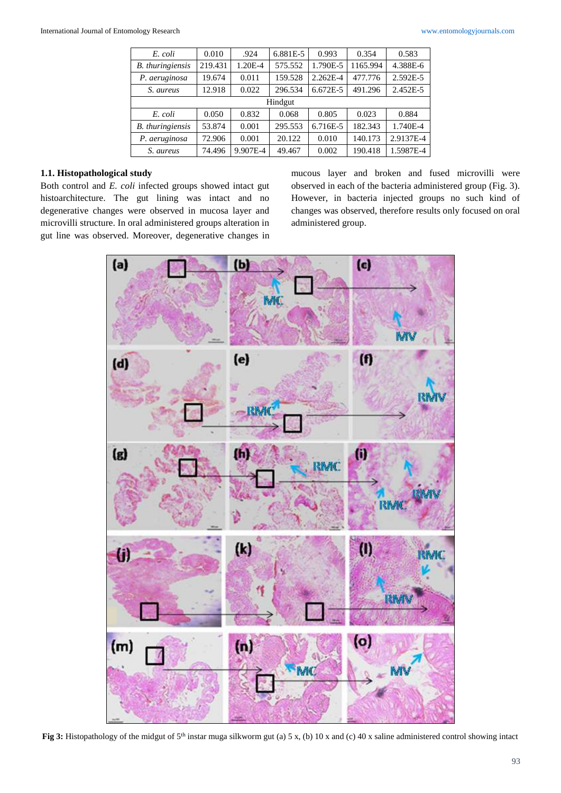| E. coli                 | 0.010   | .924     | 6.881E-5 | 0.993    | 0.354    | 0.583     |  |
|-------------------------|---------|----------|----------|----------|----------|-----------|--|
| <b>B.</b> thuringiensis | 219.431 | 1.20E-4  | 575.552  | 1.790E-5 | 1165.994 | 4.388E-6  |  |
| P. aeruginosa           | 19.674  | 0.011    | 159.528  | 2.262E-4 | 477.776  | 2.592E-5  |  |
| S. aureus               | 12.918  | 0.022    | 296.534  | 6.672E-5 | 491.296  | 2.452E-5  |  |
| Hindgut                 |         |          |          |          |          |           |  |
| E. coli                 | 0.050   | 0.832    | 0.068    | 0.805    | 0.023    | 0.884     |  |
| B. thuringiensis        | 53.874  | 0.001    | 295.553  | 6.716E-5 | 182.343  | 1.740E-4  |  |
| P. aeruginosa           | 72.906  | 0.001    | 20.122   | 0.010    | 140.173  | 2.9137E-4 |  |
| S. aureus               | 74.496  | 9.907E-4 | 49.467   | 0.002    | 190.418  | 1.5987E-4 |  |

## **1.1. Histopathological study**

Both control and *E. coli* infected groups showed intact gut histoarchitecture. The gut lining was intact and no degenerative changes were observed in mucosa layer and microvilli structure. In oral administered groups alteration in gut line was observed. Moreover, degenerative changes in

mucous layer and broken and fused microvilli were observed in each of the bacteria administered group (Fig. 3). However, in bacteria injected groups no such kind of changes was observed, therefore results only focused on oral administered group.



Fig 3: Histopathology of the midgut of 5<sup>th</sup> instar muga silkworm gut (a) 5 x, (b) 10 x and (c) 40 x saline administered control showing intact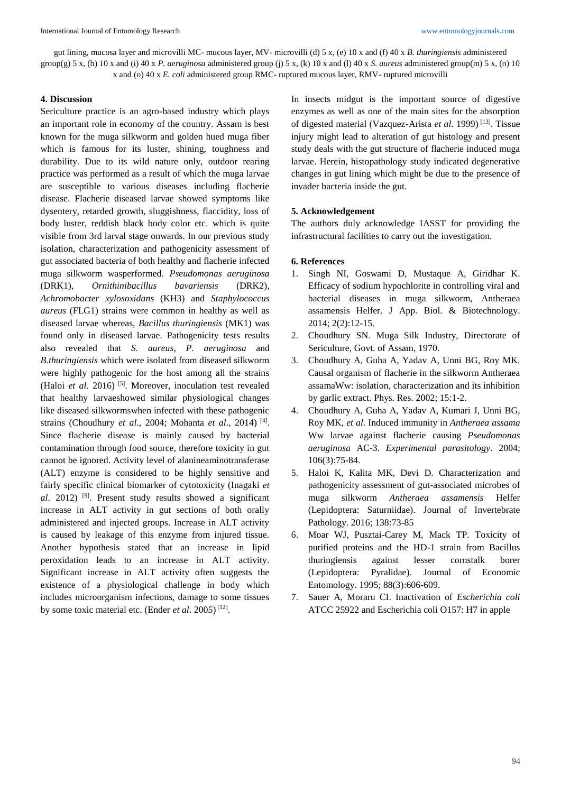gut lining, mucosa layer and microvilli MC- mucous layer, MV- microvilli (d) 5 x, (e) 10 x and (f) 40 x *B. thuringiensis* administered group(g) 5 x, (h) 10 x and (i) 40 x *P. aeruginosa* administered group (j) 5 x, (k) 10 x and (l) 40 x *S. aureus* administered group(m) 5 x, (n) 10 x and (o) 40 x *E. coli* administered group RMC- ruptured mucous layer, RMV- ruptured microvilli

## **4. Discussion**

Sericulture practice is an agro-based industry which plays an important role in economy of the country. Assam is best known for the muga silkworm and golden hued muga fiber which is famous for its luster, shining, toughness and durability. Due to its wild nature only, outdoor rearing practice was performed as a result of which the muga larvae are susceptible to various diseases including flacherie disease. Flacherie diseased larvae showed symptoms like dysentery, retarded growth, sluggishness, flaccidity, loss of body luster, reddish black body color etc. which is quite visible from 3rd larval stage onwards. In our previous study isolation, characterization and pathogenicity assessment of gut associated bacteria of both healthy and flacherie infected muga silkworm wasperformed. *Pseudomonas aeruginosa* (DRK1), *Ornithinibacillus bavariensis* (DRK2), *Achromobacter xylosoxidans* (KH3) and *Staphylococcus aureus* (FLG1) strains were common in healthy as well as diseased larvae whereas, *Bacillus thuringiensis* (MK1) was found only in diseased larvae. Pathogenicity tests results also revealed that *S. aureus*, *P. aeruginosa* and *B.thuringiensis* which were isolated from diseased silkworm were highly pathogenic for the host among all the strains (Haloi *et al*. 2016) [5]. Moreover, inoculation test revealed that healthy larvaeshowed similar physiological changes like diseased silkwormswhen infected with these pathogenic strains (Choudhury *et al*., 2004; Mohanta *et al*., 2014) [4] . Since flacherie disease is mainly caused by bacterial contamination through food source, therefore toxicity in gut cannot be ignored. Activity level of alanineaminotransferase (ALT) enzyme is considered to be highly sensitive and fairly specific clinical biomarker of cytotoxicity (Inagaki *et al*. 2012) [9]. Present study results showed a significant increase in ALT activity in gut sections of both orally administered and injected groups. Increase in ALT activity is caused by leakage of this enzyme from injured tissue. Another hypothesis stated that an increase in lipid peroxidation leads to an increase in ALT activity. Significant increase in ALT activity often suggests the existence of a physiological challenge in body which includes microorganism infections, damage to some tissues by some toxic material etc. (Ender *et al.* 2005)<sup>[12]</sup>.

In insects midgut is the important source of digestive enzymes as well as one of the main sites for the absorption of digested material (Vazquez-Arista *et al*. 1999) [13]. Tissue injury might lead to alteration of gut histology and present study deals with the gut structure of flacherie induced muga larvae. Herein, histopathology study indicated degenerative changes in gut lining which might be due to the presence of invader bacteria inside the gut.

## **5. Acknowledgement**

The authors duly acknowledge IASST for providing the infrastructural facilities to carry out the investigation.

#### **6. References**

- 1. Singh NI, Goswami D, Mustaque A, Giridhar K. Efficacy of sodium hypochlorite in controlling viral and bacterial diseases in muga silkworm, Antheraea assamensis Helfer. J App. Biol. & Biotechnology. 2014; 2(2):12-15.
- 2. Choudhury SN. Muga Silk Industry, Directorate of Sericulture, Govt. of Assam, 1970.
- 3. Choudhury A, Guha A, Yadav A, Unni BG, Roy MK. Causal organism of flacherie in the silkworm Antheraea assamaWw: isolation, characterization and its inhibition by garlic extract. Phys. Res. 2002; 15:1-2.
- 4. Choudhury A, Guha A, Yadav A, Kumari J, Unni BG, Roy MK, *et al*. Induced immunity in *Antheraea assama*  Ww larvae against flacherie causing *Pseudomonas aeruginosa* AC-3. *Experimental parasitology*. 2004; 106(3):75-84.
- 5. Haloi K, Kalita MK, Devi D. Characterization and pathogenicity assessment of gut-associated microbes of muga silkworm *Antheraea assamensis* Helfer (Lepidoptera: Saturniidae). Journal of Invertebrate Pathology. 2016; 138:73-85
- 6. Moar WJ, Pusztai-Carey M, Mack TP. Toxicity of purified proteins and the HD-1 strain from Bacillus thuringiensis against lesser cornstalk borer (Lepidoptera: Pyralidae). Journal of Economic Entomology. 1995; 88(3):606-609.
- 7. Sauer A, Moraru CI. Inactivation of *Escherichia coli* ATCC 25922 and Escherichia coli O157: H7 in apple